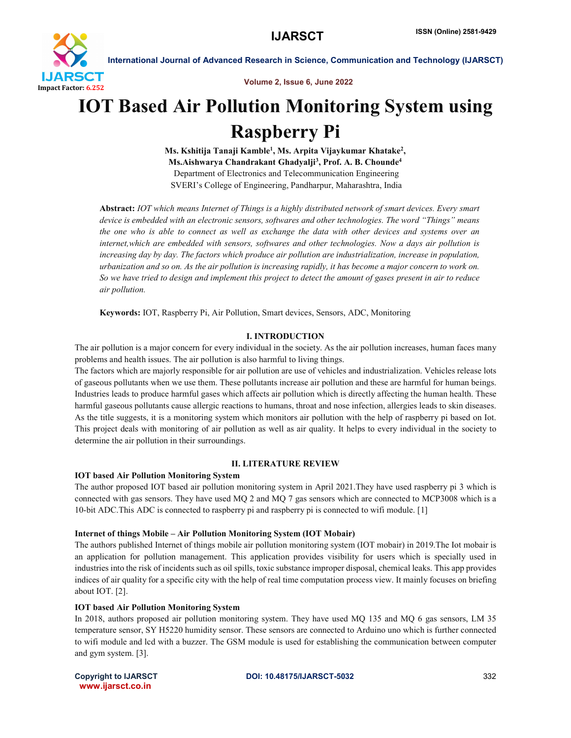

Volume 2, Issue 6, June 2022

# IOT Based Air Pollution Monitoring System using Raspberry Pi

Ms. Kshitija Tanaji Kamble<sup>1</sup>, Ms. Arpita Vijaykumar Khatake<sup>2</sup>, Ms.Aishwarya Chandrakant Ghadyalji<sup>3</sup>, Prof. A. B. Chounde<sup>4</sup> Department of Electronics and Telecommunication Engineering SVERI's College of Engineering, Pandharpur, Maharashtra, India

Abstract: *IOT which means Internet of Things is a highly distributed network of smart devices. Every smart device is embedded with an electronic sensors, softwares and other technologies. The word "Things" means the one who is able to connect as well as exchange the data with other devices and systems over an internet,which are embedded with sensors, softwares and other technologies. Now a days air pollution is increasing day by day. The factors which produce air pollution are industrialization, increase in population, urbanization and so on. As the air pollution is increasing rapidly, it has become a major concern to work on. So we have tried to design and implement this project to detect the amount of gases present in air to reduce air pollution.*

Keywords: IOT, Raspberry Pi, Air Pollution, Smart devices, Sensors, ADC, Monitoring

## I. INTRODUCTION

The air pollution is a major concern for every individual in the society. As the air pollution increases, human faces many problems and health issues. The air pollution is also harmful to living things.

The factors which are majorly responsible for air pollution are use of vehicles and industrialization. Vehicles release lots of gaseous pollutants when we use them. These pollutants increase air pollution and these are harmful for human beings. Industries leads to produce harmful gases which affects air pollution which is directly affecting the human health. These harmful gaseous pollutants cause allergic reactions to humans, throat and nose infection, allergies leads to skin diseases. As the title suggests, it is a monitoring system which monitors air pollution with the help of raspberry pi based on Iot. This project deals with monitoring of air pollution as well as air quality. It helps to every individual in the society to determine the air pollution in their surroundings.

## II. LITERATURE REVIEW

## IOT based Air Pollution Monitoring System

The author proposed IOT based air pollution monitoring system in April 2021.They have used raspberry pi 3 which is connected with gas sensors. They have used MQ 2 and MQ 7 gas sensors which are connected to MCP3008 which is a 10-bit ADC.This ADC is connected to raspberry pi and raspberry pi is connected to wifi module. [1]

## Internet of things Mobile – Air Pollution Monitoring System (IOT Mobair)

The authors published Internet of things mobile air pollution monitoring system (IOT mobair) in 2019.The Iot mobair is an application for pollution management. This application provides visibility for users which is specially used in industries into the risk of incidents such as oil spills, toxic substance improper disposal, chemical leaks. This app provides indices of air quality for a specific city with the help of real time computation process view. It mainly focuses on briefing about IOT. [2].

## IOT based Air Pollution Monitoring System

In 2018, authors proposed air pollution monitoring system. They have used MQ 135 and MQ 6 gas sensors, LM 35 temperature sensor, SY H5220 humidity sensor. These sensors are connected to Arduino uno which is further connected to wifi module and lcd with a buzzer. The GSM module is used for establishing the communication between computer and gym system. [3].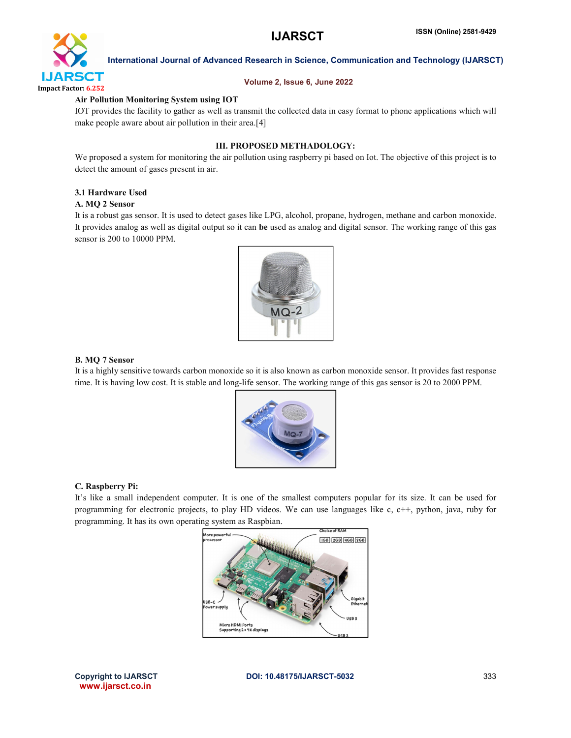

## Volume 2, Issue 6, June 2022

## Air Pollution Monitoring System using IOT

IOT provides the facility to gather as well as transmit the collected data in easy format to phone applications which will make people aware about air pollution in their area.[4]

## III. PROPOSED METHADOLOGY:

We proposed a system for monitoring the air pollution using raspberry pi based on Iot. The objective of this project is to detect the amount of gases present in air.

## 3.1 Hardware Used

## A. MQ 2 Sensor

It is a robust gas sensor. It is used to detect gases like LPG, alcohol, propane, hydrogen, methane and carbon monoxide. It provides analog as well as digital output so it can be used as analog and digital sensor. The working range of this gas sensor is 200 to 10000 PPM.



## B. MQ 7 Sensor

It is a highly sensitive towards carbon monoxide so it is also known as carbon monoxide sensor. It provides fast response time. It is having low cost. It is stable and long-life sensor. The working range of this gas sensor is 20 to 2000 PPM.



## C. Raspberry Pi:

It's like a small independent computer. It is one of the smallest computers popular for its size. It can be used for programming for electronic projects, to play HD videos. We can use languages like c, c++, python, java, ruby for programming. It has its own operating system as Raspbian.

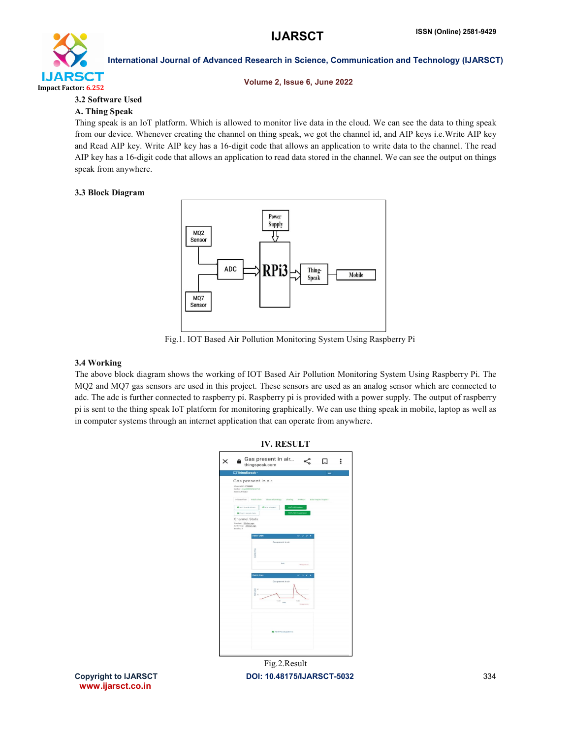

## Volume 2, Issue 6, June 2022

## 3.2 Software Used

## A. Thing Speak

Thing speak is an IoT platform. Which is allowed to monitor live data in the cloud. We can see the data to thing speak from our device. Whenever creating the channel on thing speak, we got the channel id, and AIP keys i.e.Write AIP key and Read AIP key. Write AIP key has a 16-digit code that allows an application to write data to the channel. The read AIP key has a 16-digit code that allows an application to read data stored in the channel. We can see the output on things speak from anywhere.

## 3.3 Block Diagram



Fig.1. IOT Based Air Pollution Monitoring System Using Raspberry Pi

## 3.4 Working

The above block diagram shows the working of IOT Based Air Pollution Monitoring System Using Raspberry Pi. The MQ2 and MQ7 gas sensors are used in this project. These sensors are used as an analog sensor which are connected to adc. The adc is further connected to raspberry pi. Raspberry pi is provided with a power supply. The output of raspberry pi is sent to the thing speak IoT platform for monitoring graphically. We can use thing speak in mobile, laptop as well as in computer systems through an internet application that can operate from anywhere.



www.ijarsct.co.in

Copyright to IJARSCT **DOI: 10.48175/IJARSCT-5032** 334 Fig.2.Result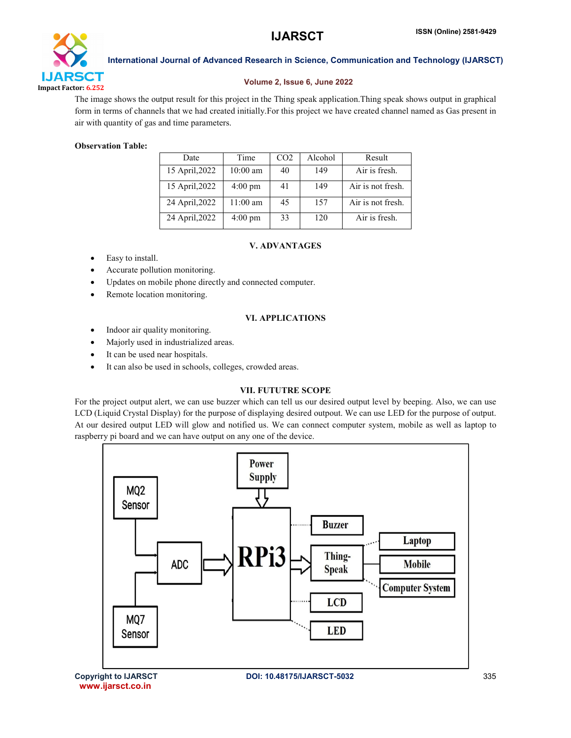

## Volume 2, Issue 6, June 2022

The image shows the output result for this project in the Thing speak application.Thing speak shows output in graphical form in terms of channels that we had created initially.For this project we have created channel named as Gas present in air with quantity of gas and time parameters.

## Observation Table:

| Date           | Time              | CO <sub>2</sub> | Alcohol | Result            |
|----------------|-------------------|-----------------|---------|-------------------|
| 15 April, 2022 | $10:00$ am        | 40              | 149     | Air is fresh.     |
| 15 April, 2022 | $4:00 \text{ pm}$ | 41              | 149     | Air is not fresh. |
| 24 April, 2022 | $11:00$ am        | 45              | 157     | Air is not fresh. |
| 24 April, 2022 | $4:00 \text{ pm}$ | 33              | 120     | Air is fresh.     |

## V. ADVANTAGES

- Easy to install.
- Accurate pollution monitoring.
- Updates on mobile phone directly and connected computer.
- Remote location monitoring.

## VI. APPLICATIONS

- Indoor air quality monitoring.
- Majorly used in industrialized areas.
- It can be used near hospitals.
- It can also be used in schools, colleges, crowded areas.

## VII. FUTUTRE SCOPE

For the project output alert, we can use buzzer which can tell us our desired output level by beeping. Also, we can use LCD (Liquid Crystal Display) for the purpose of displaying desired outpout. We can use LED for the purpose of output. At our desired output LED will glow and notified us. We can connect computer system, mobile as well as laptop to raspberry pi board and we can have output on any one of the device.